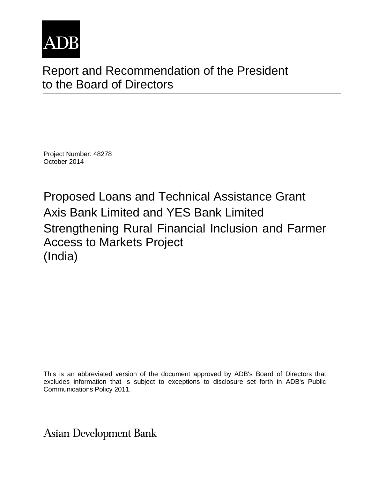

# Report and Recommendation of the President to the Board of Directors

Project Number: 48278 October 2014

Proposed Loans and Technical Assistance Grant Axis Bank Limited and YES Bank Limited Strengthening Rural Financial Inclusion and Farmer Access to Markets Project (India)

This is an abbreviated version of the document approved by ADB's Board of Directors that excludes information that is subject to exceptions to disclosure set forth in ADB's Public Communications Policy 2011.

**Asian Development Bank**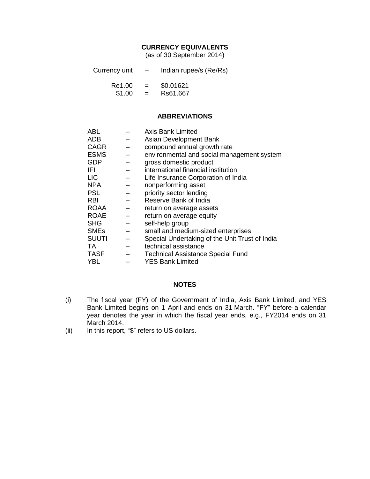#### **CURRENCY EQUIVALENTS**

(as of 30 September 2014)

| Currency unit | $\overline{\phantom{0}}$ | Indian rupee/s (Re/Rs) |
|---------------|--------------------------|------------------------|
|               |                          |                        |

| Re1.00 | -<br>- | \$0.01621 |  |
|--------|--------|-----------|--|
| \$1.00 | -<br>- | Rs61.667  |  |

#### **ABBREVIATIONS**

| <b>ABL</b>   | <b>Axis Bank Limited</b>                       |
|--------------|------------------------------------------------|
| <b>ADB</b>   | Asian Development Bank                         |
| <b>CAGR</b>  | compound annual growth rate                    |
| <b>ESMS</b>  | environmental and social management system     |
| <b>GDP</b>   | gross domestic product                         |
| IFI          | international financial institution            |
| <b>LIC</b>   | Life Insurance Corporation of India            |
| <b>NPA</b>   | nonperforming asset                            |
| <b>PSL</b>   | priority sector lending                        |
| <b>RBI</b>   | Reserve Bank of India                          |
| <b>ROAA</b>  | return on average assets                       |
| <b>ROAE</b>  | return on average equity                       |
| <b>SHG</b>   | self-help group                                |
| <b>SMEs</b>  | small and medium-sized enterprises             |
| <b>SUUTI</b> | Special Undertaking of the Unit Trust of India |
| TA.          | technical assistance                           |
| <b>TASF</b>  | <b>Technical Assistance Special Fund</b>       |
| <b>YBL</b>   | <b>YES Bank Limited</b>                        |

#### **NOTES**

- (i) The fiscal year (FY) of the Government of India, Axis Bank Limited, and YES Bank Limited begins on 1 April and ends on 31 March. "FY" before a calendar year denotes the year in which the fiscal year ends, e.g., FY2014 ends on 31 March 2014.
- (ii) In this report, "\$" refers to US dollars.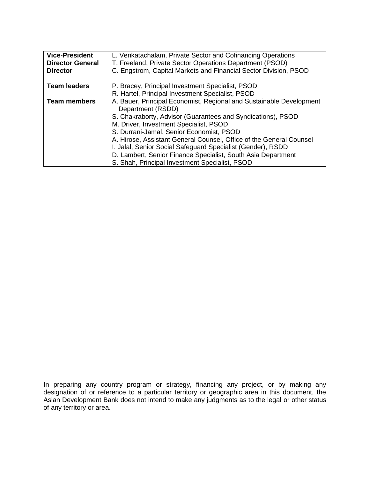| <b>Vice-President</b>   | L. Venkatachalam, Private Sector and Cofinancing Operations                              |
|-------------------------|------------------------------------------------------------------------------------------|
| <b>Director General</b> | T. Freeland, Private Sector Operations Department (PSOD)                                 |
| <b>Director</b>         | C. Engstrom, Capital Markets and Financial Sector Division, PSOD                         |
| <b>Team leaders</b>     | P. Bracey, Principal Investment Specialist, PSOD                                         |
|                         | R. Hartel, Principal Investment Specialist, PSOD                                         |
| <b>Team members</b>     | A. Bauer, Principal Economist, Regional and Sustainable Development<br>Department (RSDD) |
|                         | S. Chakraborty, Advisor (Guarantees and Syndications), PSOD                              |
|                         | M. Driver, Investment Specialist, PSOD                                                   |
|                         | S. Durrani-Jamal, Senior Economist, PSOD                                                 |
|                         | A. Hirose, Assistant General Counsel, Office of the General Counsel                      |
|                         | I. Jalal, Senior Social Safeguard Specialist (Gender), RSDD                              |
|                         | D. Lambert, Senior Finance Specialist, South Asia Department                             |
|                         | S. Shah, Principal Investment Specialist, PSOD                                           |

In preparing any country program or strategy, financing any project, or by making any designation of or reference to a particular territory or geographic area in this document, the Asian Development Bank does not intend to make any judgments as to the legal or other status of any territory or area.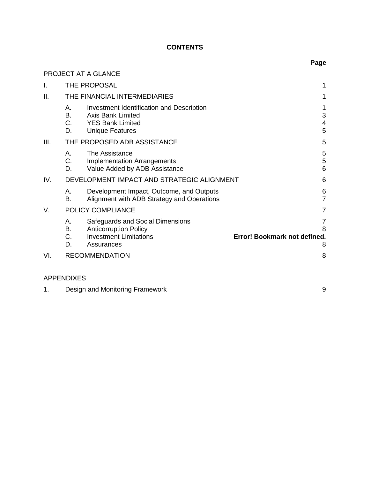## **CONTENTS**

|      |                               |                                                                                                                            | Page                                        |
|------|-------------------------------|----------------------------------------------------------------------------------------------------------------------------|---------------------------------------------|
|      |                               | PROJECT AT A GLANCE                                                                                                        |                                             |
| I.   |                               | THE PROPOSAL                                                                                                               | 1                                           |
| ΙΙ.  |                               | THE FINANCIAL INTERMEDIARIES                                                                                               | 1                                           |
|      | А.<br><b>B.</b><br>C.<br>D.   | Investment Identification and Description<br><b>Axis Bank Limited</b><br><b>YES Bank Limited</b><br><b>Unique Features</b> | 1<br>3<br>4<br>5                            |
| III. |                               | THE PROPOSED ADB ASSISTANCE                                                                                                | 5                                           |
|      | А.<br>C.<br>D.                | The Assistance<br><b>Implementation Arrangements</b><br>Value Added by ADB Assistance                                      | 5<br>5<br>6                                 |
| IV.  |                               | DEVELOPMENT IMPACT AND STRATEGIC ALIGNMENT                                                                                 | 6                                           |
|      | А.<br><b>B.</b>               | Development Impact, Outcome, and Outputs<br>Alignment with ADB Strategy and Operations                                     | 6<br>$\overline{7}$                         |
| V.   |                               | POLICY COMPLIANCE                                                                                                          | 7                                           |
|      | А.<br>В.<br>$C_{\cdot}$<br>D. | Safeguards and Social Dimensions<br><b>Anticorruption Policy</b><br><b>Investment Limitations</b><br>Assurances            | 7<br>8<br>Error! Bookmark not defined.<br>8 |
| VI.  |                               | <b>RECOMMENDATION</b>                                                                                                      | 8                                           |

# APPENDIXES

1. [Design and Monitoring Framework](#page-13-2) 6 and 100 minutes of the Second 1. The Second 1. The Second 1. Second 1. Second 1. Second 1. Second 1. Second 1. Second 1. Second 1. Second 1. Second 1. Second 1. Second 1. Second 1. Seco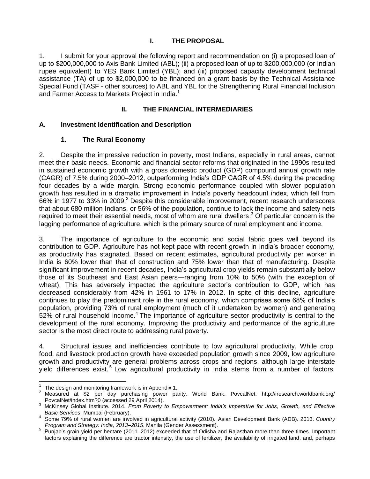#### **I. THE PROPOSAL**

<span id="page-6-0"></span>1. I submit for your approval the following report and recommendation on (i) a proposed loan of up to \$200,000,000 to Axis Bank Limited (ABL); (ii) a proposed loan of up to \$200,000,000 (or Indian rupee equivalent) to YES Bank Limited (YBL); and (iii) proposed capacity development technical assistance (TA) of up to \$2,000,000 to be financed on a grant basis by the Technical Assistance Special Fund (TASF - other sources) to ABL and YBL for the Strengthening Rural Financial Inclusion and Farmer Access to Markets Project in India.<sup>1</sup>

#### **II. THE FINANCIAL INTERMEDIARIES**

#### <span id="page-6-2"></span><span id="page-6-1"></span>**A. Investment Identification and Description**

#### **1. The Rural Economy**

2. Despite the impressive reduction in poverty, most Indians, especially in rural areas, cannot meet their basic needs. Economic and financial sector reforms that originated in the 1990s resulted in sustained economic growth with a gross domestic product (GDP) compound annual growth rate (CAGR) of 7.5% during 2000–2012, outperforming India's GDP CAGR of 4.5% during the preceding four decades by a wide margin. Strong economic performance coupled with slower population growth has resulted in a dramatic improvement in India's poverty headcount index, which fell from 66% in 1977 to 33% in 2009.<sup>2</sup> Despite this considerable improvement, recent research underscores that about 680 million Indians, or 56% of the population, continue to lack the income and safety nets required to meet their essential needs, most of whom are rural dwellers.<sup>3</sup> Of particular concern is the lagging performance of agriculture, which is the primary source of rural employment and income.

3. The importance of agriculture to the economic and social fabric goes well beyond its contribution to GDP. Agriculture has not kept pace with recent growth in India's broader economy, as productivity has stagnated. Based on recent estimates, agricultural productivity per worker in India is 60% lower than that of construction and 75% lower than that of manufacturing. Despite significant improvement in recent decades, India's agricultural crop yields remain substantially below those of its Southeast and East Asian peers—ranging from 10% to 50% (with the exception of wheat). This has adversely impacted the agriculture sector's contribution to GDP, which has decreased considerably from 42% in 1961 to 17% in 2012. In spite of this decline, agriculture continues to play the predominant role in the rural economy, which comprises some 68% of India's population, providing 73% of rural employment (much of it undertaken by women) and generating 52% of rural household income.<sup>4</sup> The importance of agriculture sector productivity is central to the development of the rural economy. Improving the productivity and performance of the agriculture sector is the most direct route to addressing rural poverty.

4. Structural issues and inefficiencies contribute to low agricultural productivity. While crop, food, and livestock production growth have exceeded population growth since 2009, low agriculture growth and productivity are general problems across crops and regions, although large interstate yield differences exist.<sup>5</sup> Low agricultural productivity in India stems from a number of factors,

 $\frac{1}{1}$ The design and monitoring framework is in Appendix 1.

<sup>&</sup>lt;sup>2</sup> Measured at \$2 per day purchasing power parity. World Bank. PovcalNet. http://iresearch.worldbank.org/ PovcalNet/index.htm?0 (accessed 29 April 2014).

<sup>3</sup> McKinsey Global Institute. 2014. *From Poverty to Empowerment: India's Imperative for Jobs, Growth, and Effective Basic Services*. Mumbai (February).

<sup>4</sup> Some 79% of rural women are involved in agricultural activity (2010). Asian Development Bank (ADB). 2013. *Country Program and Strategy: India, 2013–2015*. Manila (Gender Assessment).

<sup>&</sup>lt;sup>5</sup> Punjab's grain yield per hectare (2011–2012) exceeded that of Odisha and Rajasthan more than three times. Important factors explaining the difference are tractor intensity, the use of fertilizer, the availability of irrigated land, and, perhaps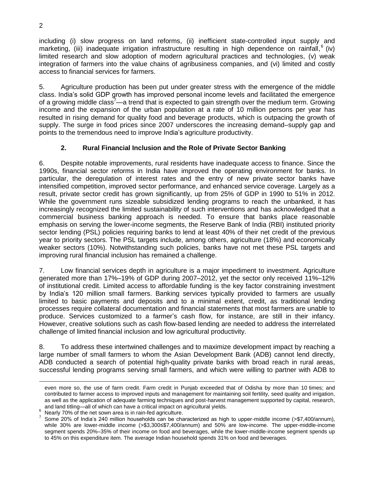including (i) slow progress on land reforms, (ii) inefficient state-controlled input supply and marketing, (iii) inadequate irrigation infrastructure resulting in high dependence on rainfall,<sup>6</sup> (iv) limited research and slow adoption of modern agricultural practices and technologies, (v) weak integration of farmers into the value chains of agribusiness companies, and (vi) limited and costly access to financial services for farmers.

5. Agriculture production has been put under greater stress with the emergence of the middle class. India's solid GDP growth has improved personal income levels and facilitated the emergence of a growing middle class<sup>7</sup>—a trend that is expected to gain strength over the medium term. Growing income and the expansion of the urban population at a rate of 10 million persons per year has resulted in rising demand for quality food and beverage products, which is outpacing the growth of supply. The surge in food prices since 2007 underscores the increasing demand–supply gap and points to the tremendous need to improve India's agriculture productivity.

#### **2. Rural Financial Inclusion and the Role of Private Sector Banking**

6. Despite notable improvements, rural residents have inadequate access to finance. Since the 1990s, financial sector reforms in India have improved the operating environment for banks. In particular, the deregulation of interest rates and the entry of new private sector banks have intensified competition, improved sector performance, and enhanced service coverage. Largely as a result, private sector credit has grown significantly, up from 25% of GDP in 1990 to 51% in 2012. While the government runs sizeable subsidized lending programs to reach the unbanked, it has increasingly recognized the limited sustainability of such interventions and has acknowledged that a commercial business banking approach is needed. To ensure that banks place reasonable emphasis on serving the lower-income segments, the Reserve Bank of India (RBI) instituted priority sector lending (PSL) policies requiring banks to lend at least 40% of their net credit of the previous year to priority sectors. The PSL targets include, among others, agriculture (18%) and economically weaker sectors (10%). Notwithstanding such policies, banks have not met these PSL targets and improving rural financial inclusion has remained a challenge.

7. Low financial services depth in agriculture is a major impediment to investment. Agriculture generated more than 17%–19% of GDP during 2007–2012, yet the sector only received 11%–12% of institutional credit. Limited access to affordable funding is the key factor constraining investment by India's 120 million small farmers. Banking services typically provided to farmers are usually limited to basic payments and deposits and to a minimal extent, credit, as traditional lending processes require collateral documentation and financial statements that most farmers are unable to produce. Services customized to a farmer's cash flow, for instance, are still in their infancy. However, creative solutions such as cash flow-based lending are needed to address the interrelated challenge of limited financial inclusion and low agricultural productivity.

8. To address these intertwined challenges and to maximize development impact by reaching a large number of small farmers to whom the Asian Development Bank (ADB) cannot lend directly, ADB conducted a search of potential high-quality private banks with broad reach in rural areas, successful lending programs serving small farmers, and which were willing to partner with ADB to

1

even more so, the use of farm credit. Farm credit in Punjab exceeded that of Odisha by more than 10 times; and contributed to farmer access to improved inputs and management for maintaining soil fertility, seed quality and irrigation, as well as the application of adequate farming techniques and post-harvest management supported by capital, research, and land titling—all of which can have a critical impact on agricultural yields.

 $^6$  Nearly 70% of the net sown area is in rain-fed agriculture.<br> $^7$  Some 20% of India's 240 million bounchelds can be she

Some 20% of India's 240 million households can be characterized as high to upper-middle income (>\$7,400/annum), while 30% are lower-middle income (>\$3,300≤\$7,400/annum) and 50% are low-income. The upper-middle-income segment spends 20%–35% of their income on food and beverages, while the lower-middle-income segment spends up to 45% on this expenditure item. The average Indian household spends 31% on food and beverages.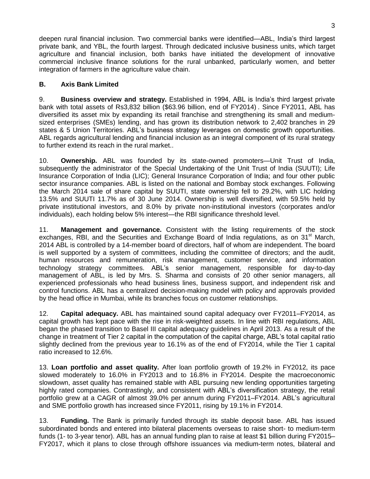deepen rural financial inclusion. Two commercial banks were identified—ABL, India's third largest private bank, and YBL, the fourth largest. Through dedicated inclusive business units, which target agriculture and financial inclusion, both banks have initiated the development of innovative commercial inclusive finance solutions for the rural unbanked, particularly women, and better integration of farmers in the agriculture value chain.

#### <span id="page-8-0"></span>**B. Axis Bank Limited**

9. **Business overview and strategy.** Established in 1994, ABL is India's third largest private bank with total assets of Rs3,832 billion (\$63.96 billion, end of FY2014) . Since FY2011, ABL has diversified its asset mix by expanding its retail franchise and strengthening its small and mediumsized enterprises (SMEs) lending, and has grown its distribution network to 2,402 branches in 29 states & 5 Union Territories. ABL's business strategy leverages on domestic growth opportunities. ABL regards agricultural lending and financial inclusion as an integral component of its rural strategy to further extend its reach in the rural market..

10. **Ownership.** ABL was founded by its state-owned promoters—Unit Trust of India, subsequently the administrator of the Special Undertaking of the Unit Trust of India (SUUTI); Life Insurance Corporation of India (LIC); General Insurance Corporation of India; and four other public sector insurance companies. ABL is listed on the national and Bombay stock exchanges. Following the March 2014 sale of share capital by SUUTI, state ownership fell to 29.2%, with LIC holding 13.5% and SUUTI 11.7% as of 30 June 2014. Ownership is well diversified, with 59.5% held by private institutional investors, and 8.0% by private non-institutional investors (corporates and/or individuals), each holding below 5% interest—the RBI significance threshold level.

11. **Management and governance.** Consistent with the listing requirements of the stock exchanges, RBI, and the Securities and Exchange Board of India regulations, as on 31<sup>st</sup> March, 2014 ABL is controlled by a 14-member board of directors, half of whom are independent. The board is well supported by a system of committees, including the committee of directors; and the audit, human resources and remuneration, risk management, customer service, and information technology strategy committees. ABL's senior management, responsible for day-to-day management of ABL, is led by Mrs. S. Sharma and consists of 20 other senior managers, all experienced professionals who head business lines, business support, and independent risk and control functions. ABL has a centralized decision-making model with policy and approvals provided by the head office in Mumbai, while its branches focus on customer relationships.

12. **Capital adequacy.** ABL has maintained sound capital adequacy over FY2011–FY2014, as capital growth has kept pace with the rise in risk-weighted assets. In line with RBI regulations, ABL began the phased transition to Basel III capital adequacy guidelines in April 2013. As a result of the change in treatment of Tier 2 capital in the computation of the capital charge, ABL's total capital ratio slightly declined from the previous year to 16.1% as of the end of FY2014, while the Tier 1 capital ratio increased to 12.6%.

13. **Loan portfolio and asset quality.** After loan portfolio growth of 19.2% in FY2012, its pace slowed moderately to 16.0% in FY2013 and to 16.8% in FY2014. Despite the macroeconomic slowdown, asset quality has remained stable with ABL pursuing new lending opportunities targeting highly rated companies. Contrastingly, and consistent with ABL's diversification strategy, the retail portfolio grew at a CAGR of almost 39.0% per annum during FY2011–FY2014. ABL's agricultural and SME portfolio growth has increased since FY2011, rising by 19.1% in FY2014.

13. **Funding.** The Bank is primarily funded through its stable deposit base. ABL has issued subordinated bonds and entered into bilateral placements overseas to raise short- to medium-term funds (1- to 3-year tenor). ABL has an annual funding plan to raise at least \$1 billion during FY2015– FY2017, which it plans to close through offshore issuances via medium-term notes, bilateral and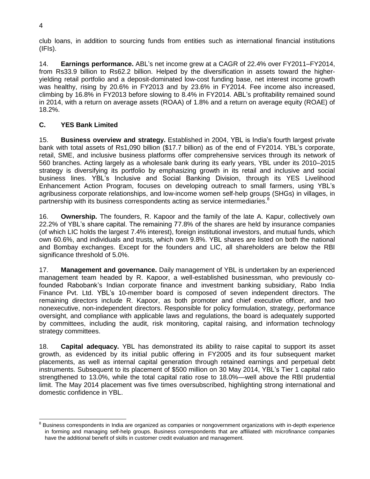club loans, in addition to sourcing funds from entities such as international financial institutions (IFIs).

14. **Earnings performance.** ABL's net income grew at a CAGR of 22.4% over FY2011–FY2014, from Rs33.9 billion to Rs62.2 billion. Helped by the diversification in assets toward the higheryielding retail portfolio and a deposit-dominated low-cost funding base, net interest income growth was healthy, rising by 20.6% in FY2013 and by 23.6% in FY2014. Fee income also increased, climbing by 16.8% in FY2013 before slowing to 8.4% in FY2014. ABL's profitability remained sound in 2014, with a return on average assets (ROAA) of 1.8% and a return on average equity (ROAE) of 18.2%.

## **C. YES Bank Limited**

15. **Business overview and strategy.** Established in 2004, YBL is India's fourth largest private bank with total assets of Rs1,090 billion (\$17.7 billion) as of the end of FY2014. YBL's corporate, retail, SME, and inclusive business platforms offer comprehensive services through its network of 560 branches. Acting largely as a wholesale bank during its early years, YBL under its 2010–2015 strategy is diversifying its portfolio by emphasizing growth in its retail and inclusive and social business lines. YBL's Inclusive and Social Banking Division, through its YES Livelihood Enhancement Action Program, focuses on developing outreach to small farmers, using YBL's agribusiness corporate relationships, and low-income women self-help groups (SHGs) in villages, in partnership with its business correspondents acting as service intermediaries.<sup>8</sup>

16. **Ownership.** The founders, R. Kapoor and the family of the late A. Kapur, collectively own 22.2% of YBL's share capital. The remaining 77.8% of the shares are held by insurance companies (of which LIC holds the largest 7.4% interest), foreign institutional investors, and mutual funds, which own 60.6%, and individuals and trusts, which own 9.8%. YBL shares are listed on both the national and Bombay exchanges. Except for the founders and LIC, all shareholders are below the RBI significance threshold of 5.0%.

17. **Management and governance.** Daily management of YBL is undertaken by an experienced management team headed by R. Kapoor, a well-established businessman, who previously cofounded Rabobank's Indian corporate finance and investment banking subsidiary, Rabo India Finance Pvt. Ltd. YBL's 10-member board is composed of seven independent directors. The remaining directors include R. Kapoor, as both promoter and chief executive officer, and two nonexecutive, non-independent directors. Responsible for policy formulation, strategy, performance oversight, and compliance with applicable laws and regulations, the board is adequately supported by committees, including the audit, risk monitoring, capital raising, and information technology strategy committees.

18. **Capital adequacy.** YBL has demonstrated its ability to raise capital to support its asset growth, as evidenced by its initial public offering in FY2005 and its four subsequent market placements, as well as internal capital generation through retained earnings and perpetual debt instruments. Subsequent to its placement of \$500 million on 30 May 2014, YBL's Tier 1 capital ratio strengthened to 13.0%, while the total capital ratio rose to 18.0%—well above the RBI prudential limit. The May 2014 placement was five times oversubscribed, highlighting strong international and domestic confidence in YBL.

 $\overline{a}$ 

<sup>&</sup>lt;sup>8</sup> Business correspondents in India are organized as companies or nongovernment organizations with in-depth experience in forming and managing self-help groups. Business correspondents that are affiliated with microfinance companies have the additional benefit of skills in customer credit evaluation and management.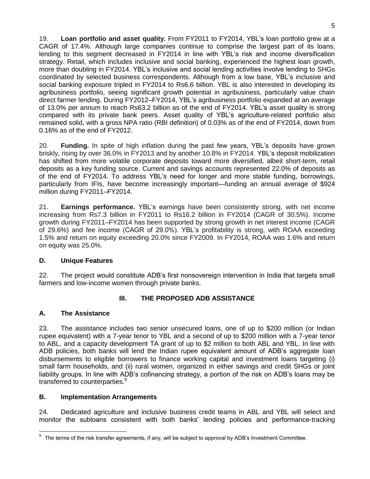19. **Loan portfolio and asset quality.** From FY2011 to FY2014, YBL's loan portfolio grew at a CAGR of 17.4%. Although large companies continue to comprise the largest part of its loans, lending to this segment decreased in FY2014 in line with YBL's risk and income diversification strategy. Retail, which includes inclusive and social banking, experienced the highest loan growth, more than doubling in FY2014. YBL's inclusive and social lending activities involve lending to SHGs coordinated by selected business correspondents. Although from a low base, YBL's inclusive and social banking exposure tripled in FY2014 to Rs6.6 billion. YBL is also interested in developing its agribusiness portfolio, seeing significant growth potential in agribusiness, particularly value chain direct farmer lending. During FY2012–FY2014, YBL's agribusiness portfolio expanded at an average of 13.0% per annum to reach Rs63.2 billion as of the end of FY2014. YBL's asset quality is strong compared with its private bank peers. Asset quality of YBL's agriculture-related portfolio also remained solid, with a gross NPA ratio (RBI definition) of 0.03% as of the end of FY2014, down from 0.16% as of the end of FY2012.

20. **Funding.** In spite of high inflation during the past few years, YBL's deposits have grown briskly, rising by over 36.0% in FY2013 and by another 10.8% in FY2014. YBL's deposit mobilization has shifted from more volatile corporate deposits toward more diversified, albeit short-term, retail deposits as a key funding source. Current and savings accounts represented 22.0% of deposits as of the end of FY2014. To address YBL's need for longer and more stable funding, borrowings, particularly from IFIs, have become increasingly important—funding an annual average of \$924 million during FY2011–FY2014.

21. **Earnings performance.** YBL's earnings have been consistently strong, with net income increasing from Rs7.3 billion in FY2011 to Rs16.2 billion in FY2014 (CAGR of 30.5%). Income growth during FY2011–FY2014 has been supported by strong growth in net interest income (CAGR of 29.6%) and fee income (CAGR of 29.0%). YBL's profitability is strong, with ROAA exceeding 1.5% and return on equity exceeding 20.0% since FY2009. In FY2014, ROAA was 1.6% and return on equity was 25.0%.

#### **D. Unique Features**

22. The project would constitute ADB's first nonsovereign intervention in India that targets small farmers and low-income women through private banks.

## **III. THE PROPOSED ADB ASSISTANCE**

## <span id="page-10-1"></span><span id="page-10-0"></span>**A. The Assistance**

23. The assistance includes two senior unsecured loans, one of up to \$200 million (or Indian rupee equivalent) with a 7-year tenor to YBL and a second of up to \$200 million with a 7-year tenor to ABL, and a capacity development TA grant of up to \$2 million to both ABL and YBL. In line with ADB policies, both banks will lend the Indian rupee equivalent amount of ADB's aggregate loan disbursements to eligible borrowers to finance working capital and investment loans targeting (i) small farm households, and (ii) rural women, organized in either savings and credit SHGs or joint liability groups. In line with ADB's cofinancing strategy, a portion of the risk on ADB's loans may be transferred to counterparties.<sup>9</sup>

#### <span id="page-10-2"></span>**B. Implementation Arrangements**

24. Dedicated agriculture and inclusive business credit teams in ABL and YBL will select and monitor the subloans consistent with both banks' lending policies and performance-tracking

 9 The terms of the risk transfer agreements, if any, will be subject to approval by ADB's Investment Committee.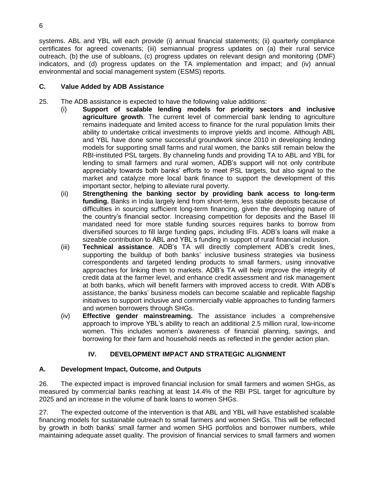systems. ABL and YBL will each provide (i) annual financial statements; (ii) quarterly compliance certificates for agreed covenants; (iii) semiannual progress updates on (a) their rural service outreach, (b) the use of subloans, (c) progress updates on relevant design and monitoring (DMF) indicators, and (d) progress updates on the TA implementation and impact; and (iv) annual environmental and social management system (ESMS) reports.

## <span id="page-11-0"></span>**C. Value Added by ADB Assistance**

- 25. The ADB assistance is expected to have the following value additions:
	- (i) **Support of scalable lending models for priority sectors and inclusive agriculture growth**. The current level of commercial bank lending to agriculture remains inadequate and limited access to finance for the rural population limits their ability to undertake critical investments to improve yields and income. Although ABL and YBL have done some successful groundwork since 2010 in developing lending models for supporting small farms and rural women, the banks still remain below the RBI-instituted PSL targets. By channeling funds and providing TA to ABL and YBL for lending to small farmers and rural women, ADB's support will not only contribute appreciably towards both banks' efforts to meet PSL targets, but also signal to the market and catalyze more local bank finance to support the development of this important sector, helping to alleviate rural poverty.
	- (ii) **Strengthening the banking sector by providing bank access to long-term funding.** Banks in India largely lend from short-term, less stable deposits because of difficulties in sourcing sufficient long-term financing, given the developing nature of the country's financial sector. Increasing competition for deposits and the Basel III mandated need for more stable funding sources requires banks to borrow from diversified sources to fill large funding gaps, including IFIs. ADB's loans will make a sizeable contribution to ABL and YBL's funding in support of rural financial inclusion.
	- (iii) **Technical assistance**. ADB's TA will directly complement ADB's credit lines, supporting the buildup of both banks' inclusive business strategies via business correspondents and targeted lending products to small farmers, using innovative approaches for linking them to markets. ADB's TA will help improve the integrity of credit data at the farmer level, and enhance credit assessment and risk management at both banks, which will benefit farmers with improved access to credit. With ADB's assistance, the banks' business models can become scalable and replicable flagship initiatives to support inclusive and commercially viable approaches to funding farmers and women borrowers through SHGs.
	- (iv) **Effective gender mainstreaming.** The assistance includes a comprehensive approach to improve YBL's ability to reach an additional 2.5 million rural, low-income women. This includes women's awareness of financial planning, savings, and borrowing for their farm and household needs as reflected in the gender action plan.

## **IV. DEVELOPMENT IMPACT AND STRATEGIC ALIGNMENT**

## <span id="page-11-2"></span><span id="page-11-1"></span>**A. Development Impact, Outcome, and Outputs**

26. The expected impact is improved financial inclusion for small farmers and women SHGs, as measured by commercial banks reaching at least 14.4% of the RBI PSL target for agriculture by 2025 and an increase in the volume of bank loans to women SHGs.

27. The expected outcome of the intervention is that ABL and YBL will have established scalable financing models for sustainable outreach to small farmers and women SHGs. This will be reflected by growth in both banks' small farmer and women SHG portfolios and borrower numbers, while maintaining adequate asset quality. The provision of financial services to small farmers and women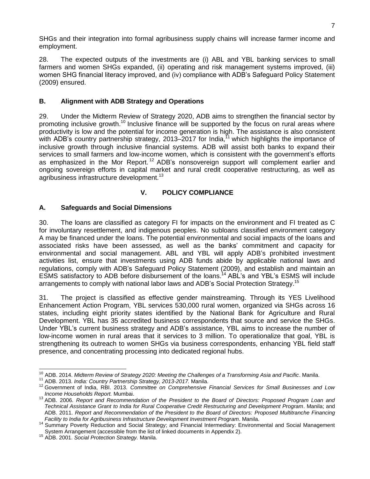SHGs and their integration into formal agribusiness supply chains will increase farmer income and employment.

28. The expected outputs of the investments are (i) ABL and YBL banking services to small farmers and women SHGs expanded, (ii) operating and risk management systems improved, (iii) women SHG financial literacy improved, and (iv) compliance with ADB's Safeguard Policy Statement (2009) ensured.

## <span id="page-12-0"></span>**B. Alignment with ADB Strategy and Operations**

29. Under the Midterm Review of Strategy 2020, ADB aims to strengthen the financial sector by promoting inclusive growth.<sup>10</sup> Inclusive finance will be supported by the focus on rural areas where productivity is low and the potential for income generation is high. The assistance is also consistent with ADB's country partnership strategy, 2013–2017 for India,<sup>11</sup> which highlights the importance of inclusive growth through inclusive financial systems. ADB will assist both banks to expand their services to small farmers and low-income women, which is consistent with the government's efforts as emphasized in the Mor Report.<sup>12</sup> ADB's nonsovereign support will complement earlier and ongoing sovereign efforts in capital market and rural credit cooperative restructuring, as well as agribusiness infrastructure development.<sup>13</sup>

#### **V. POLICY COMPLIANCE**

#### <span id="page-12-2"></span><span id="page-12-1"></span>**A. Safeguards and Social Dimensions**

30. The loans are classified as category FI for impacts on the environment and FI treated as C for involuntary resettlement, and indigenous peoples. No subloans classified environment category A may be financed under the loans. The potential environmental and social impacts of the loans and associated risks have been assessed, as well as the banks' commitment and capacity for environmental and social management. ABL and YBL will apply ADB's prohibited investment activities list, ensure that investments using ADB funds abide by applicable national laws and regulations, comply with ADB's Safeguard Policy Statement (2009), and establish and maintain an ESMS satisfactory to ADB before disbursement of the loans.<sup>14</sup> ABL's and YBL's ESMS will include arrangements to comply with national labor laws and ADB's Social Protection Strategy.<sup>15</sup>

31. The project is classified as effective gender mainstreaming. Through its YES Livelihood Enhancement Action Program, YBL services 530,000 rural women, organized via SHGs across 16 states, including eight priority states identified by the National Bank for Agriculture and Rural Development. YBL has 35 accredited business correspondents that source and service the SHGs. Under YBL's current business strategy and ADB's assistance, YBL aims to increase the number of low-income women in rural areas that it services to 3 million. To operationalize that goal, YBL is strengthening its outreach to women SHGs via business correspondents, enhancing YBL field staff presence, and concentrating processing into dedicated regional hubs.

 <sup>10</sup> ADB. 2014. *Midterm Review of Strategy 2020: Meeting the Challenges of a Transforming Asia and Pacific*. Manila.

<sup>11</sup> ADB. 2013. *India: Country Partnership Strategy, 2013-2017.* Manila.

<sup>12</sup> Government of India, RBI. 2013. *Committee on Comprehensive Financial Services for Small Businesses and Low Income Households Report.* Mumbai.

<sup>13</sup> ADB. 2006. *Report and Recommendation of the President to the Board of Directors: Proposed Program Loan and Technical Assistance Grant to India for Rural Cooperative Credit Restructuring and Development Program*. Manila; and ADB. 2011. *Report and Recommendation of the President to the Board of Directors: Proposed Multitranche Financing Facility to India for Agribusiness Infrastructure Development Investment Program*. Manila.

<sup>14</sup> Summary Poverty Reduction and Social Strategy; and Financial Intermediary: Environmental and Social Management System Arrangement (accessible from the list of linked documents in Appendix 2).

<sup>15</sup> ADB. 2001. *Social Protection Strategy.* Manila.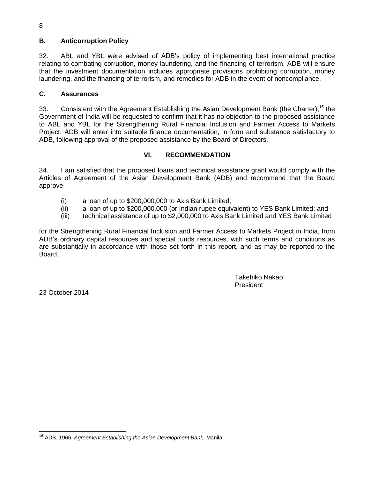## **B. Anticorruption Policy**

32. ABL and YBL were advised of ADB's policy of implementing best international practice relating to combating corruption, money laundering, and the financing of terrorism. ADB will ensure that the investment documentation includes appropriate provisions prohibiting corruption, money laundering, and the financing of terrorism, and remedies for ADB in the event of noncompliance.

#### <span id="page-13-0"></span>**C. Assurances**

33. Consistent with the Agreement Establishing the Asian Development Bank (the Charter), <sup>16</sup> the Government of India will be requested to confirm that it has no objection to the proposed assistance to ABL and YBL for the Strengthening Rural Financial Inclusion and Farmer Access to Markets Project. ADB will enter into suitable finance documentation, in form and substance satisfactory to ADB, following approval of the proposed assistance by the Board of Directors.

## **VI. RECOMMENDATION**

<span id="page-13-1"></span>34. I am satisfied that the proposed loans and technical assistance grant would comply with the Articles of Agreement of the Asian Development Bank (ADB) and recommend that the Board approve

- (i) a loan of up to \$200,000,000 to Axis Bank Limited;
- (ii) a loan of up to \$200,000,000 (or Indian rupee equivalent) to YES Bank Limited; and
- (iii) technical assistance of up to \$2,000,000 to Axis Bank Limited and YES Bank Limited

for the Strengthening Rural Financial Inclusion and Farmer Access to Markets Project in India, from ADB's ordinary capital resources and special funds resources, with such terms and conditions as are substantially in accordance with those set forth in this report, and as may be reported to the Board.

> Takehiko Nakao President

<span id="page-13-2"></span>23 October 2014

<sup>8</sup>

j <sup>16</sup> ADB. 1966. *Agreement Establishing the Asian Development Bank.* Manila.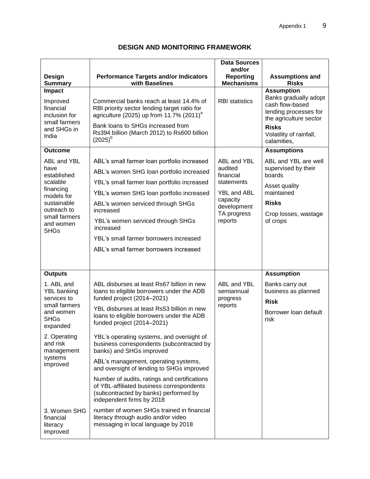|                                                                                                                                                      |                                                                                                                                                                                                                                                                                                                                                                            | <b>Data Sources</b>                                                                                                          |                                                                                                                                                                            |
|------------------------------------------------------------------------------------------------------------------------------------------------------|----------------------------------------------------------------------------------------------------------------------------------------------------------------------------------------------------------------------------------------------------------------------------------------------------------------------------------------------------------------------------|------------------------------------------------------------------------------------------------------------------------------|----------------------------------------------------------------------------------------------------------------------------------------------------------------------------|
| Design<br><b>Summary</b>                                                                                                                             | <b>Performance Targets and/or Indicators</b><br>with Baselines                                                                                                                                                                                                                                                                                                             | and/or<br><b>Reporting</b><br><b>Mechanisms</b>                                                                              | <b>Assumptions and</b><br><b>Risks</b>                                                                                                                                     |
| Impact<br>Improved<br>financial<br>inclusion for<br>small farmers<br>and SHGs in<br>India                                                            | Commercial banks reach at least 14.4% of<br>RBI priority sector lending target ratio for<br>agriculture (2025) up from 11.7% (2011) <sup>a</sup><br>Bank loans to SHGs increased from<br>Rs394 billion (March 2012) to Rs600 billion<br>$(2025)^{b}$                                                                                                                       | <b>RBI</b> statistics                                                                                                        | <b>Assumption</b><br>Banks gradually adopt<br>cash flow-based<br>lending processes for<br>the agriculture sector<br><b>Risks</b><br>Volatility of rainfall,<br>calamities, |
| <b>Outcome</b>                                                                                                                                       |                                                                                                                                                                                                                                                                                                                                                                            |                                                                                                                              | <b>Assumptions</b>                                                                                                                                                         |
| ABL and YBL<br>have<br>established<br>scalable<br>financing<br>models for<br>sustainable<br>outreach to<br>small farmers<br>and women<br><b>SHGs</b> | ABL's small farmer loan portfolio increased<br>ABL's women SHG loan portfolio increased<br>YBL's small farmer loan portfolio increased<br>YBL's women SHG loan portfolio increased<br>ABL's women serviced through SHGs<br>increased<br>YBL's women serviced through SHGs<br>increased<br>YBL's small farmer borrowers increased<br>ABL's small farmer borrowers increased | ABL and YBL<br>audited<br>financial<br>statements<br><b>YBL and ABL</b><br>capacity<br>development<br>TA progress<br>reports | ABL and YBL are well<br>supervised by their<br>boards<br>Asset quality<br>maintained<br><b>Risks</b><br>Crop losses, wastage<br>of crops                                   |
| <b>Outputs</b>                                                                                                                                       |                                                                                                                                                                                                                                                                                                                                                                            |                                                                                                                              | <b>Assumption</b>                                                                                                                                                          |
| 1. ABL and<br><b>YBL</b> banking<br>services to<br>small farmers<br>and women<br><b>SHGs</b><br>expanded<br>2. Operating<br>and risk                 | ABL disburses at least Rs67 billion in new<br>loans to eligible borrowers under the ADB<br>funded project (2014-2021)<br>YBL disburses at least Rs53 billion in new<br>loans to eligible borrowers under the ADB<br>funded project (2014-2021)<br>YBL's operating systems, and oversight of<br>business correspondents (subcontracted by                                   | ABL and YBL<br>semiannual<br>progress<br>reports                                                                             | Banks carry out<br>business as planned<br><b>Risk</b><br>Borrower loan default<br>risk                                                                                     |
| management<br>systems<br>improved                                                                                                                    | banks) and SHGs improved<br>ABL's management, operating systems,<br>and oversight of lending to SHGs improved                                                                                                                                                                                                                                                              |                                                                                                                              |                                                                                                                                                                            |
|                                                                                                                                                      | Number of audits, ratings and certifications<br>of YBL-affiliated business correspondents<br>(subcontracted by banks) performed by<br>independent firms by 2018                                                                                                                                                                                                            |                                                                                                                              |                                                                                                                                                                            |
| 3. Women SHG<br>financial<br>literacy<br>improved                                                                                                    | number of women SHGs trained in financial<br>literacy through audio and/or video<br>messaging in local language by 2018                                                                                                                                                                                                                                                    |                                                                                                                              |                                                                                                                                                                            |

## **DESIGN AND MONITORING FRAMEWORK**